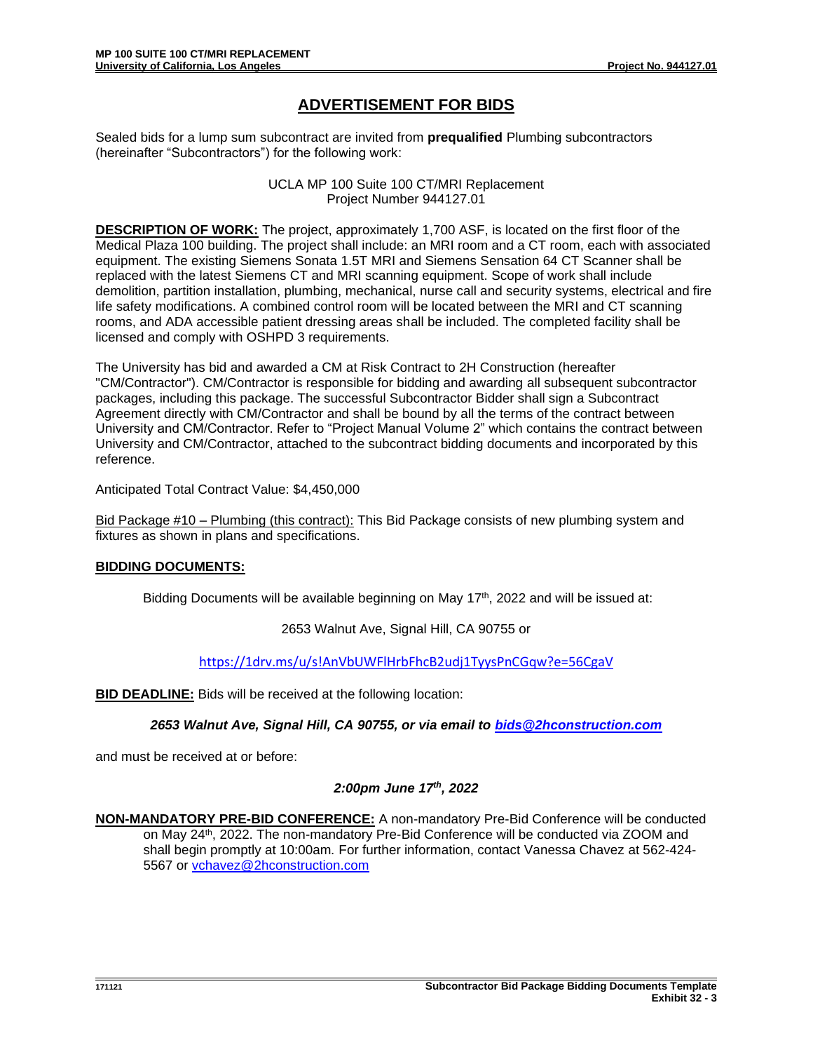## **ADVERTISEMENT FOR BIDS**

Sealed bids for a lump sum subcontract are invited from **prequalified** Plumbing subcontractors (hereinafter "Subcontractors") for the following work:

> UCLA MP 100 Suite 100 CT/MRI Replacement Project Number 944127.01

**DESCRIPTION OF WORK:** The project, approximately 1,700 ASF, is located on the first floor of the Medical Plaza 100 building. The project shall include: an MRI room and a CT room, each with associated equipment. The existing Siemens Sonata 1.5T MRI and Siemens Sensation 64 CT Scanner shall be replaced with the latest Siemens CT and MRI scanning equipment. Scope of work shall include demolition, partition installation, plumbing, mechanical, nurse call and security systems, electrical and fire life safety modifications. A combined control room will be located between the MRI and CT scanning rooms, and ADA accessible patient dressing areas shall be included. The completed facility shall be licensed and comply with OSHPD 3 requirements.

The University has bid and awarded a CM at Risk Contract to 2H Construction (hereafter "CM/Contractor"). CM/Contractor is responsible for bidding and awarding all subsequent subcontractor packages, including this package. The successful Subcontractor Bidder shall sign a Subcontract Agreement directly with CM/Contractor and shall be bound by all the terms of the contract between University and CM/Contractor. Refer to "Project Manual Volume 2" which contains the contract between University and CM/Contractor, attached to the subcontract bidding documents and incorporated by this reference.

Anticipated Total Contract Value: \$4,450,000

Bid Package #10 – Plumbing (this contract): This Bid Package consists of new plumbing system and fixtures as shown in plans and specifications.

## **BIDDING DOCUMENTS:**

Bidding Documents will be available beginning on May  $17<sup>th</sup>$ , 2022 and will be issued at:

2653 Walnut Ave, Signal Hill, CA 90755 or

<https://1drv.ms/u/s!AnVbUWFlHrbFhcB2udj1TyysPnCGqw?e=56CgaV>

**BID DEADLINE:** Bids will be received at the following location:

*2653 Walnut Ave, Signal Hill, CA 90755, or via email to [bids@2hconstruction.com](mailto:bids@2hconstruction.com)*

and must be received at or before:

## *2:00pm June 17th, 2022*

**NON-MANDATORY PRE-BID CONFERENCE:** A non-mandatory Pre-Bid Conference will be conducted on May 24<sup>th</sup>, 2022. The non-mandatory Pre-Bid Conference will be conducted via ZOOM and shall begin promptly at 10:00am*.* For further information, contact Vanessa Chavez at 562-424- 5567 or [vchavez@2hconstruction.com](mailto:vchavez@2hconstruction.com)